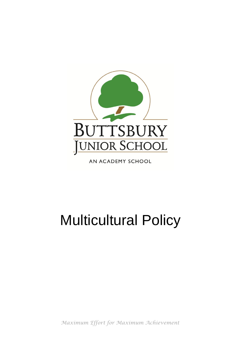

AN ACADEMY SCHOOL

# Multicultural Policy

*Maximum Effort for Maximum Achievement*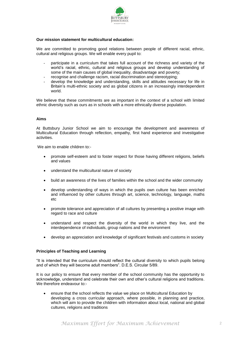

# **Our mission statement for multicultural education:**

We are committed to promoting good relations between people of different racial, ethnic, cultural and religious groups. We will enable every pupil to:

- participate in a curriculum that takes full account of the richness and variety of the world's racial, ethnic, cultural and religious groups and develop understanding of some of the main causes of global inequality, disadvantage and poverty;
- recognise and challenge racism, racial discrimination and stereotyping;
- develop the knowledge and understanding, skills and attitudes necessary for life in Britain's multi-ethnic society and as global citizens in an increasingly interdependent world.

We believe that these commitments are as important in the context of a school with limited ethnic diversity such as ours as in schools with a more ethnically diverse population.

## **Aims**

At Buttsbury Junior School we aim to encourage the development and awareness of Multicultural Education through reflection, empathy, first hand experience and investigative activities.

We aim to enable children to:-

- promote self-esteem and to foster respect for those having different religions, beliefs and values
- understand the multicultural nature of society
- build an awareness of the lives of families within the school and the wider community
- develop understanding of ways in which the pupils own culture has been enriched and influenced by other cultures through art, science, technology, language, maths etc
- promote tolerance and appreciation of all cultures by presenting a positive image with regard to race and culture
- understand and respect the diversity of the world in which they live, and the interdependence of individuals, group nations and the environment
- develop an appreciation and knowledge of significant festivals and customs in society

## **Principles of Teaching and Learning**

"It is intended that the curriculum should reflect the cultural diversity to which pupils belong and of which they will become adult members". D.E.S. Circular 5/89.

It is our policy to ensure that every member of the school community has the opportunity to acknowledge, understand and celebrate their own and other's cultural religions and traditions. We therefore endeavour to:-

 ensure that the school reflects the value we place on Multicultural Education by developing a cross curricular approach, where possible, in planning and practice, which will aim to provide the children with information about local, national and global cultures, religions and traditions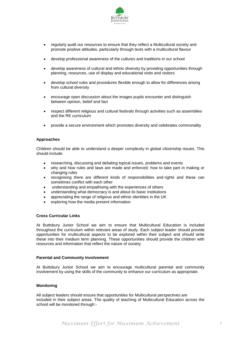

- regularly audit our resources to ensure that they reflect a Multicultural society and promote positive attitudes, particularly through texts with a multicultural flavour
- develop professional awareness of the cultures and traditions in our school
- develop awareness of cultural and ethnic diversity by providing opportunities through planning, resources, use of display and educational visits and visitors
- develop school rules and procedures flexible enough to allow for differences arising from cultural diversity
- encourage open discussion about the images pupils encounter and distinguish between opinion, belief and fact
- respect different religious and cultural festivals through activities such as assemblies and the RE curriculum
- provide a secure environment which promotes diversity and celebrates commonality

## **Approaches**

Children should be able to understand a deeper complexity in global citizenship issues. This should include:

- researching, discussing and debating topical issues, problems and events
- why and how rules and laws are made and enforced; how to take part in making or changing rules
- recognising there are different kinds of responsibilities and rights and these can sometimes conflict with each other
- understanding and empathising with the experiences of others
- understanding what democracy is and about its basic institutions
- appreciating the range of religious and ethnic identities in the UK
- exploring how the media present information

## **Cross Curricular Links**

At Buttsbury Junior School we aim to ensure that Multicultural Education is included throughout the curriculum within relevant areas of study. Each subject leader should provide opportunities for multicultural aspects to be explored within their subject and should write these into their medium term planning. These opportunities should provide the children with resources and information that reflect the nature of society.

#### **Parental and Community Involvement**

At Buttsbury Junior School we aim to encourage multicultural parental and community involvement by using the skills of the community to enhance our curriculum as appropriate.

## **Monitoring**

All subject leaders should ensure that opportunities for Multicultural perspectives are included in their subject areas. The quality of teaching of Multicultural Education across the school will be monitored through:-